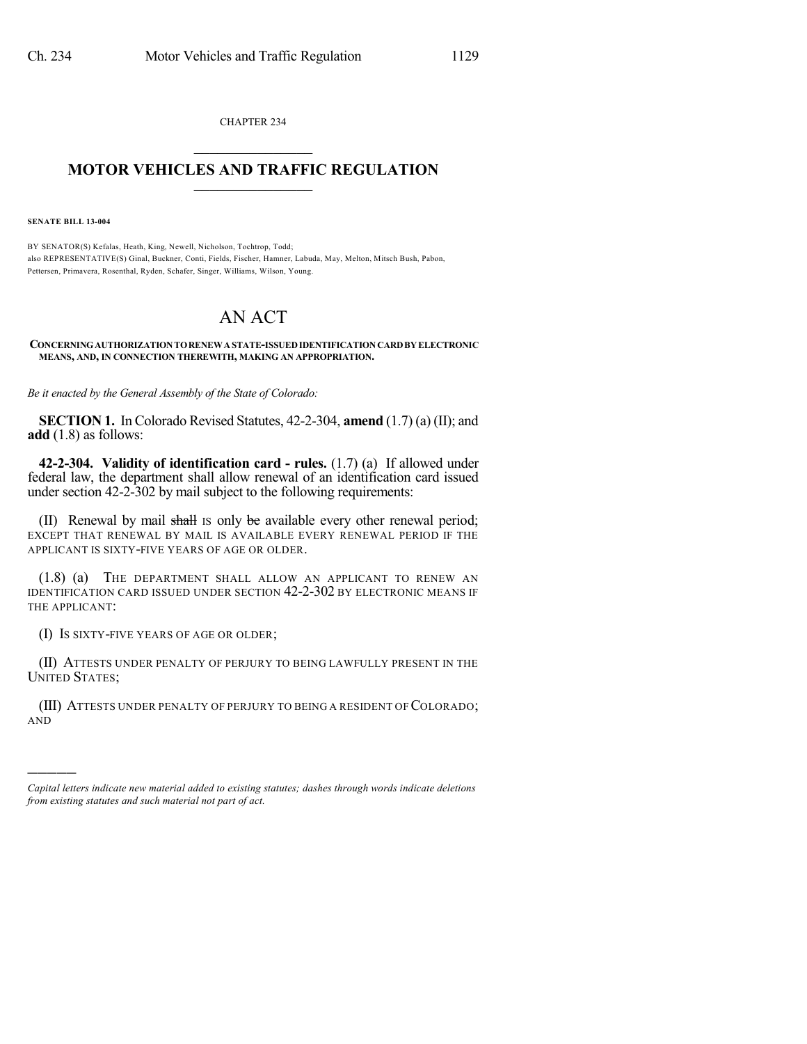CHAPTER 234  $\overline{\phantom{a}}$  . The set of the set of the set of the set of the set of the set of the set of the set of the set of the set of the set of the set of the set of the set of the set of the set of the set of the set of the set o

## **MOTOR VEHICLES AND TRAFFIC REGULATION**  $\frac{1}{2}$  ,  $\frac{1}{2}$  ,  $\frac{1}{2}$  ,  $\frac{1}{2}$  ,  $\frac{1}{2}$  ,  $\frac{1}{2}$  ,  $\frac{1}{2}$

**SENATE BILL 13-004**

)))))

BY SENATOR(S) Kefalas, Heath, King, Newell, Nicholson, Tochtrop, Todd; also REPRESENTATIVE(S) Ginal, Buckner, Conti, Fields, Fischer, Hamner, Labuda, May, Melton, Mitsch Bush, Pabon, Pettersen, Primavera, Rosenthal, Ryden, Schafer, Singer, Williams, Wilson, Young.

## AN ACT

## **CONCERNINGAUTHORIZATIONTORENEWASTATE-ISSUEDIDENTIFICATIONCARDBY ELECTRONIC MEANS, AND, IN CONNECTION THEREWITH, MAKING AN APPROPRIATION.**

*Be it enacted by the General Assembly of the State of Colorado:*

**SECTION 1.** In Colorado Revised Statutes, 42-2-304, **amend** (1.7) (a) (II); and **add** (1.8) as follows:

**42-2-304. Validity of identification card - rules.** (1.7) (a) If allowed under federal law, the department shall allow renewal of an identification card issued under section 42-2-302 by mail subject to the following requirements:

(II) Renewal by mail shall is only be available every other renewal period; EXCEPT THAT RENEWAL BY MAIL IS AVAILABLE EVERY RENEWAL PERIOD IF THE APPLICANT IS SIXTY-FIVE YEARS OF AGE OR OLDER.

(1.8) (a) THE DEPARTMENT SHALL ALLOW AN APPLICANT TO RENEW AN IDENTIFICATION CARD ISSUED UNDER SECTION 42-2-302 BY ELECTRONIC MEANS IF THE APPLICANT:

(I) IS SIXTY-FIVE YEARS OF AGE OR OLDER;

(II) ATTESTS UNDER PENALTY OF PERJURY TO BEING LAWFULLY PRESENT IN THE UNITED STATES;

(III) ATTESTS UNDER PENALTY OF PERJURY TO BEING A RESIDENT OF COLORADO; AND

*Capital letters indicate new material added to existing statutes; dashes through words indicate deletions from existing statutes and such material not part of act.*